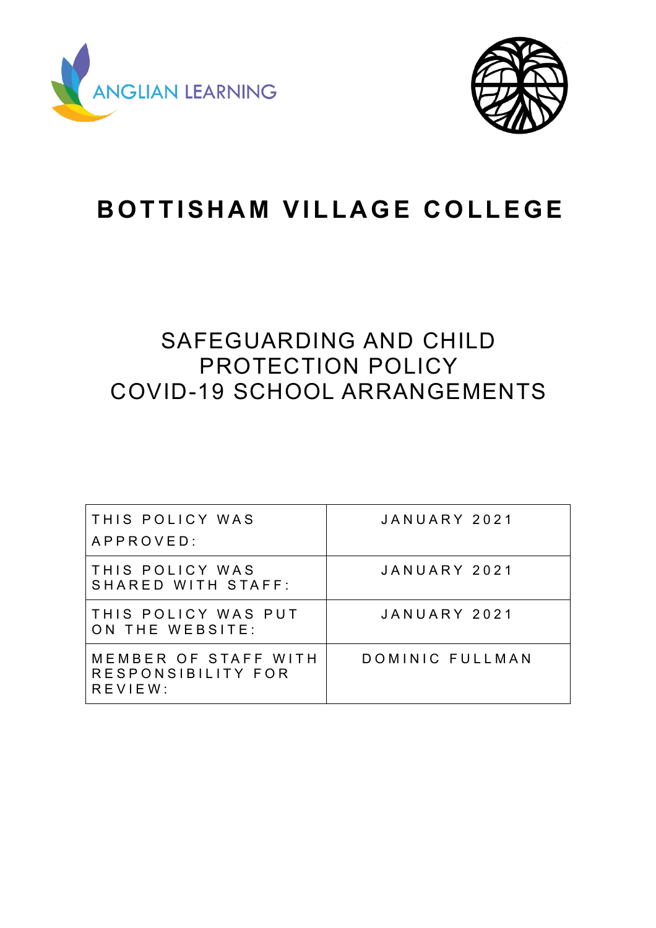



# **BOTTISHAM VILLAGE COLLEGE**

# SAFEGUARDING AND CHILD PROTECTION POLICY COVID-19 SCHOOL ARRANGEMENTS

| THIS POLICY WAS<br>APPROVED:                          | JANUARY 2021    |
|-------------------------------------------------------|-----------------|
| THIS POLICY WAS<br>SHARED WITH STAFF:                 | JANUARY 2021    |
| THIS POLICY WAS PUT<br>ON THE WEBSITE:                | JANUARY 2021    |
| MEMBER OF STAFF WITH<br>RESPONSIBILITY FOR<br>REVIEW: | DOMINIC FULLMAN |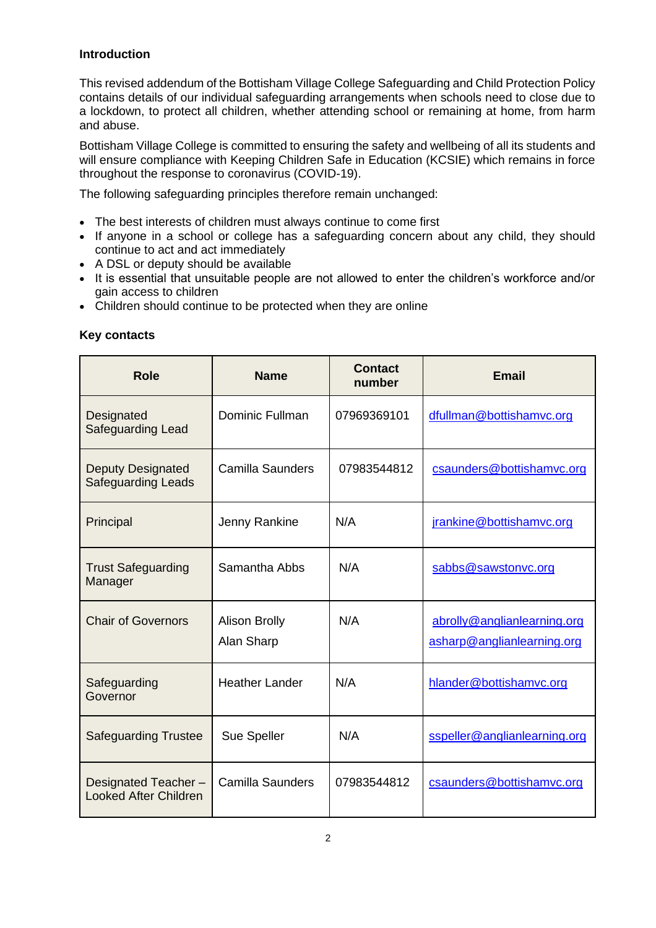# **Introduction**

This revised addendum of the Bottisham Village College Safeguarding and Child Protection Policy contains details of our individual safeguarding arrangements when schools need to close due to a lockdown, to protect all children, whether attending school or remaining at home, from harm and abuse.

Bottisham Village College is committed to ensuring the safety and wellbeing of all its students and will ensure compliance with Keeping Children Safe in Education (KCSIE) which remains in force throughout the response to coronavirus (COVID-19).

The following safeguarding principles therefore remain unchanged:

- The best interests of children must always continue to come first
- If anyone in a school or college has a safeguarding concern about any child, they should continue to act and act immediately
- A DSL or deputy should be available
- It is essential that unsuitable people are not allowed to enter the children's workforce and/or gain access to children
- Children should continue to be protected when they are online

| <b>Role</b>                                           | <b>Name</b>                        | <b>Contact</b><br>number | <b>Email</b>                                              |
|-------------------------------------------------------|------------------------------------|--------------------------|-----------------------------------------------------------|
| Designated<br>Safeguarding Lead                       | <b>Dominic Fullman</b>             | 07969369101              | dfullman@bottishamvc.org                                  |
| <b>Deputy Designated</b><br><b>Safeguarding Leads</b> | Camilla Saunders                   | 07983544812              | csaunders@bottishamvc.org                                 |
| Principal                                             | Jenny Rankine                      | N/A                      | jrankine@bottishamvc.org                                  |
| <b>Trust Safeguarding</b><br>Manager                  | Samantha Abbs                      | N/A                      | sabbs@sawstonvc.org                                       |
| <b>Chair of Governors</b>                             | <b>Alison Brolly</b><br>Alan Sharp | N/A                      | abrolly@anglianlearning.org<br>asharp@anglianlearning.org |
| Safeguarding<br>Governor                              | <b>Heather Lander</b>              | N/A                      | hlander@bottishamvc.org                                   |
| <b>Safeguarding Trustee</b>                           | Sue Speller                        | N/A                      | sspeller@anglianlearning.org                              |
| Designated Teacher-<br><b>Looked After Children</b>   | <b>Camilla Saunders</b>            | 07983544812              | csaunders@bottishamvc.org                                 |

# **Key contacts**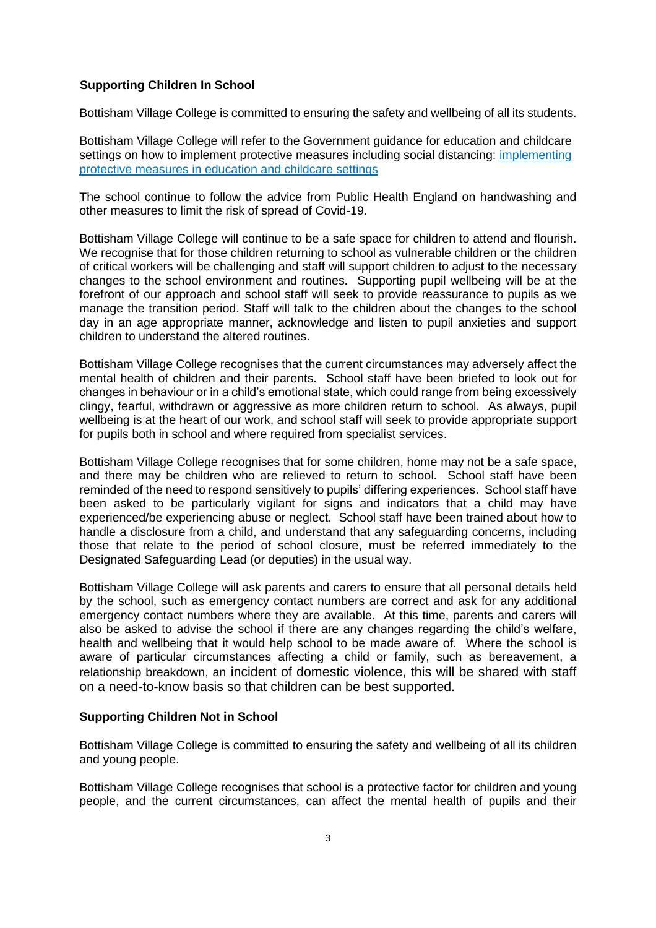# **Supporting Children In School**

Bottisham Village College is committed to ensuring the safety and wellbeing of all its students.

Bottisham Village College will refer to the Government guidance for education and childcare settings on how to implement protective measures including social distancing: [implementing](https://www.gov.uk/government/publications/coronavirus-covid-19-implementing-protective-measures-in-education-and-childcare-settings)  [protective measures in education and childcare settings](https://www.gov.uk/government/publications/coronavirus-covid-19-implementing-protective-measures-in-education-and-childcare-settings)

The school continue to follow the advice from Public Health England on handwashing and other measures to limit the risk of spread of Covid-19.

Bottisham Village College will continue to be a safe space for children to attend and flourish. We recognise that for those children returning to school as vulnerable children or the children of critical workers will be challenging and staff will support children to adjust to the necessary changes to the school environment and routines. Supporting pupil wellbeing will be at the forefront of our approach and school staff will seek to provide reassurance to pupils as we manage the transition period. Staff will talk to the children about the changes to the school day in an age appropriate manner, acknowledge and listen to pupil anxieties and support children to understand the altered routines.

Bottisham Village College recognises that the current circumstances may adversely affect the mental health of children and their parents. School staff have been briefed to look out for changes in behaviour or in a child's emotional state, which could range from being excessively clingy, fearful, withdrawn or aggressive as more children return to school. As always, pupil wellbeing is at the heart of our work, and school staff will seek to provide appropriate support for pupils both in school and where required from specialist services.

Bottisham Village College recognises that for some children, home may not be a safe space, and there may be children who are relieved to return to school. School staff have been reminded of the need to respond sensitively to pupils' differing experiences. School staff have been asked to be particularly vigilant for signs and indicators that a child may have experienced/be experiencing abuse or neglect. School staff have been trained about how to handle a disclosure from a child, and understand that any safeguarding concerns, including those that relate to the period of school closure, must be referred immediately to the Designated Safeguarding Lead (or deputies) in the usual way.

Bottisham Village College will ask parents and carers to ensure that all personal details held by the school, such as emergency contact numbers are correct and ask for any additional emergency contact numbers where they are available. At this time, parents and carers will also be asked to advise the school if there are any changes regarding the child's welfare, health and wellbeing that it would help school to be made aware of. Where the school is aware of particular circumstances affecting a child or family, such as bereavement, a relationship breakdown, an incident of domestic violence, this will be shared with staff on a need-to-know basis so that children can be best supported.

#### **Supporting Children Not in School**

Bottisham Village College is committed to ensuring the safety and wellbeing of all its children and young people.

Bottisham Village College recognises that school is a protective factor for children and young people, and the current circumstances, can affect the mental health of pupils and their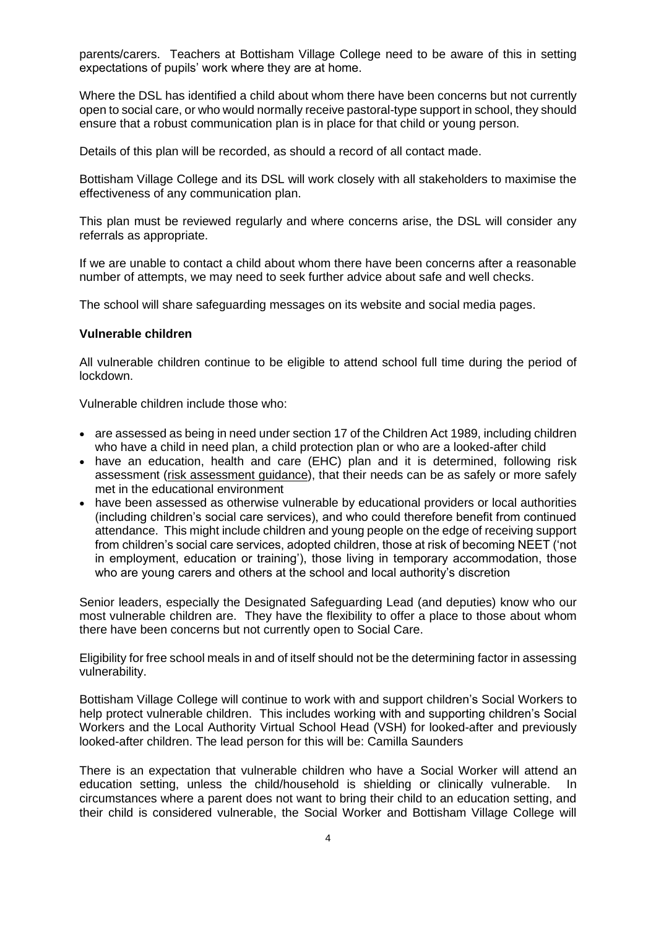parents/carers. Teachers at Bottisham Village College need to be aware of this in setting expectations of pupils' work where they are at home.

Where the DSL has identified a child about whom there have been concerns but not currently open to social care, or who would normally receive pastoral-type support in school, they should ensure that a robust communication plan is in place for that child or young person.

Details of this plan will be recorded, as should a record of all contact made.

Bottisham Village College and its DSL will work closely with all stakeholders to maximise the effectiveness of any communication plan.

This plan must be reviewed regularly and where concerns arise, the DSL will consider any referrals as appropriate.

If we are unable to contact a child about whom there have been concerns after a reasonable number of attempts, we may need to seek further advice about safe and well checks.

The school will share safeguarding messages on its website and social media pages.

#### **Vulnerable children**

All vulnerable children continue to be eligible to attend school full time during the period of lockdown.

Vulnerable children include those who:

- are assessed as being in need under section 17 of the Children Act 1989, including children who have a child in need plan, a child protection plan or who are a looked-after child
- have an education, health and care (EHC) plan and it is determined, following risk assessment [\(risk assessment guidance\)](https://www.gov.uk/government/publications/coronavirus-covid-19-send-risk-assessment-guidance/coronavirus-covid-19-send-risk-assessment-guidance), that their needs can be as safely or more safely met in the educational environment
- have been assessed as otherwise vulnerable by educational providers or local authorities (including children's social care services), and who could therefore benefit from continued attendance. This might include children and young people on the edge of receiving support from children's social care services, adopted children, those at risk of becoming NEET ('not in employment, education or training'), those living in temporary accommodation, those who are young carers and others at the school and local authority's discretion

Senior leaders, especially the Designated Safeguarding Lead (and deputies) know who our most vulnerable children are. They have the flexibility to offer a place to those about whom there have been concerns but not currently open to Social Care.

Eligibility for free school meals in and of itself should not be the determining factor in assessing vulnerability.

Bottisham Village College will continue to work with and support children's Social Workers to help protect vulnerable children. This includes working with and supporting children's Social Workers and the Local Authority Virtual School Head (VSH) for looked-after and previously looked-after children. The lead person for this will be: Camilla Saunders

There is an expectation that vulnerable children who have a Social Worker will attend an education setting, unless the child/household is shielding or clinically vulnerable. In circumstances where a parent does not want to bring their child to an education setting, and their child is considered vulnerable, the Social Worker and Bottisham Village College will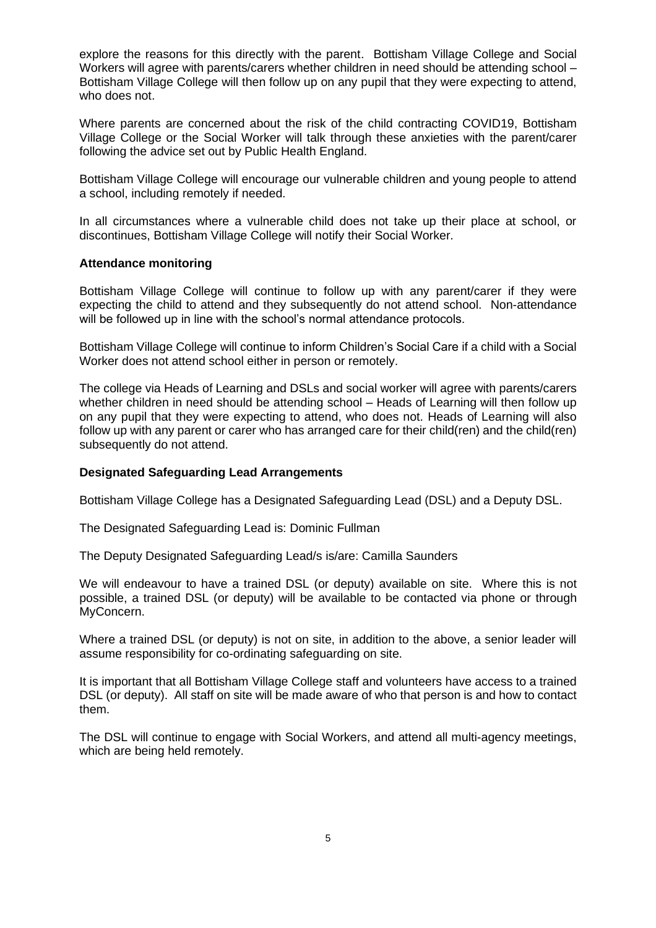explore the reasons for this directly with the parent. Bottisham Village College and Social Workers will agree with parents/carers whether children in need should be attending school – Bottisham Village College will then follow up on any pupil that they were expecting to attend, who does not.

Where parents are concerned about the risk of the child contracting COVID19, Bottisham Village College or the Social Worker will talk through these anxieties with the parent/carer following the advice set out by Public Health England.

Bottisham Village College will encourage our vulnerable children and young people to attend a school, including remotely if needed.

In all circumstances where a vulnerable child does not take up their place at school, or discontinues, Bottisham Village College will notify their Social Worker.

# **Attendance monitoring**

Bottisham Village College will continue to follow up with any parent/carer if they were expecting the child to attend and they subsequently do not attend school. Non-attendance will be followed up in line with the school's normal attendance protocols.

Bottisham Village College will continue to inform Children's Social Care if a child with a Social Worker does not attend school either in person or remotely.

The college via Heads of Learning and DSLs and social worker will agree with parents/carers whether children in need should be attending school – Heads of Learning will then follow up on any pupil that they were expecting to attend, who does not. Heads of Learning will also follow up with any parent or carer who has arranged care for their child(ren) and the child(ren) subsequently do not attend.

#### **Designated Safeguarding Lead Arrangements**

Bottisham Village College has a Designated Safeguarding Lead (DSL) and a Deputy DSL.

The Designated Safeguarding Lead is: Dominic Fullman

The Deputy Designated Safeguarding Lead/s is/are: Camilla Saunders

We will endeavour to have a trained DSL (or deputy) available on site. Where this is not possible, a trained DSL (or deputy) will be available to be contacted via phone or through MyConcern.

Where a trained DSL (or deputy) is not on site, in addition to the above, a senior leader will assume responsibility for co-ordinating safeguarding on site.

It is important that all Bottisham Village College staff and volunteers have access to a trained DSL (or deputy). All staff on site will be made aware of who that person is and how to contact them.

The DSL will continue to engage with Social Workers, and attend all multi-agency meetings, which are being held remotely.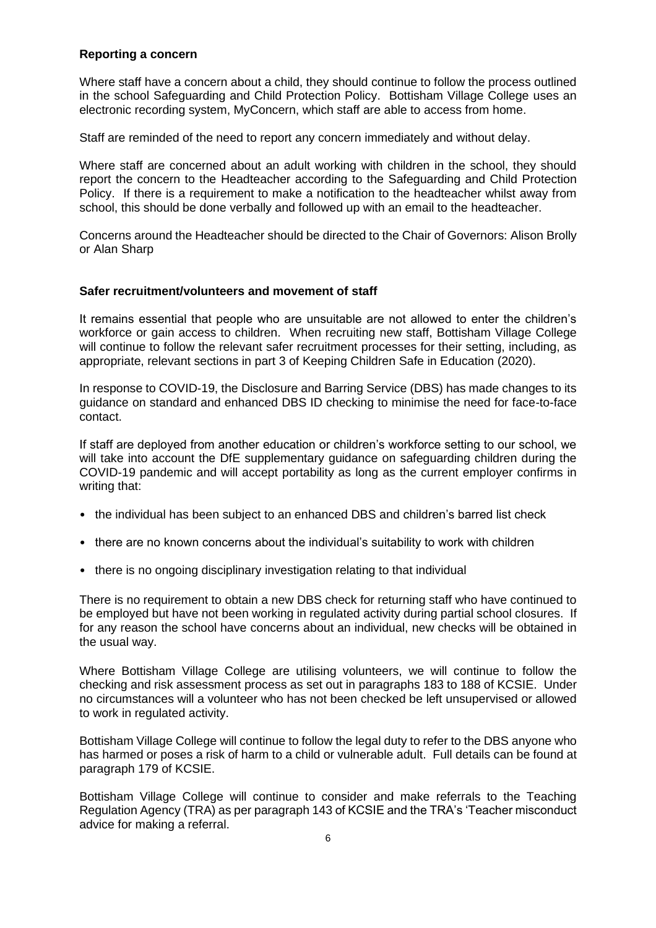# **Reporting a concern**

Where staff have a concern about a child, they should continue to follow the process outlined in the school Safeguarding and Child Protection Policy. Bottisham Village College uses an electronic recording system, MyConcern, which staff are able to access from home.

Staff are reminded of the need to report any concern immediately and without delay.

Where staff are concerned about an adult working with children in the school, they should report the concern to the Headteacher according to the Safeguarding and Child Protection Policy. If there is a requirement to make a notification to the headteacher whilst away from school, this should be done verbally and followed up with an email to the headteacher.

Concerns around the Headteacher should be directed to the Chair of Governors: Alison Brolly or Alan Sharp

#### **Safer recruitment/volunteers and movement of staff**

It remains essential that people who are unsuitable are not allowed to enter the children's workforce or gain access to children. When recruiting new staff, Bottisham Village College will continue to follow the relevant safer recruitment processes for their setting, including, as appropriate, relevant sections in part 3 of Keeping Children Safe in Education (2020).

In response to COVID-19, the Disclosure and Barring Service (DBS) has made changes to its guidance on standard and enhanced DBS ID checking to minimise the need for face-to-face contact.

If staff are deployed from another education or children's workforce setting to our school, we will take into account the DfE supplementary guidance on safeguarding children during the COVID-19 pandemic and will accept portability as long as the current employer confirms in writing that:

- the individual has been subject to an enhanced DBS and children's barred list check
- there are no known concerns about the individual's suitability to work with children
- there is no ongoing disciplinary investigation relating to that individual

There is no requirement to obtain a new DBS check for returning staff who have continued to be employed but have not been working in regulated activity during partial school closures. If for any reason the school have concerns about an individual, new checks will be obtained in the usual way.

Where Bottisham Village College are utilising volunteers, we will continue to follow the checking and risk assessment process as set out in paragraphs 183 to 188 of KCSIE. Under no circumstances will a volunteer who has not been checked be left unsupervised or allowed to work in regulated activity.

Bottisham Village College will continue to follow the legal duty to refer to the DBS anyone who has harmed or poses a risk of harm to a child or vulnerable adult. Full details can be found at paragraph 179 of KCSIE.

Bottisham Village College will continue to consider and make referrals to the Teaching Regulation Agency (TRA) as per paragraph 143 of KCSIE and the TRA's 'Teacher misconduct advice for making a referral.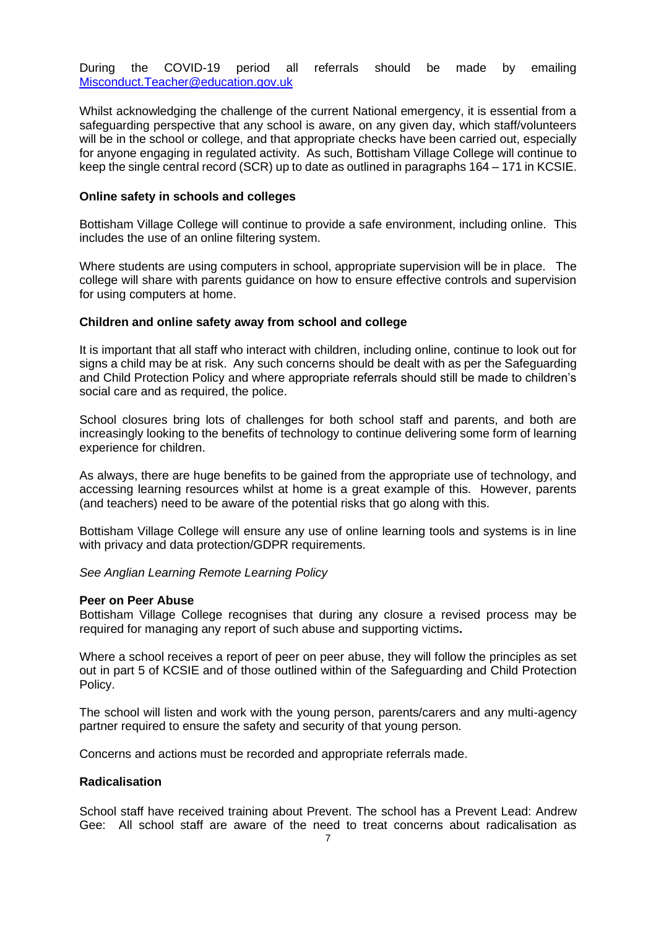During the COVID-19 period all referrals should be made by emailing [Misconduct.Teacher@education.gov.uk](mailto:Misconduct.Teacher@education.gov.uk)

Whilst acknowledging the challenge of the current National emergency, it is essential from a safeguarding perspective that any school is aware, on any given day, which staff/volunteers will be in the school or college, and that appropriate checks have been carried out, especially for anyone engaging in regulated activity. As such, Bottisham Village College will continue to keep the single central record (SCR) up to date as outlined in paragraphs 164 – 171 in KCSIE.

#### **Online safety in schools and colleges**

Bottisham Village College will continue to provide a safe environment, including online. This includes the use of an online filtering system.

Where students are using computers in school, appropriate supervision will be in place. The college will share with parents guidance on how to ensure effective controls and supervision for using computers at home.

#### **Children and online safety away from school and college**

It is important that all staff who interact with children, including online, continue to look out for signs a child may be at risk. Any such concerns should be dealt with as per the Safeguarding and Child Protection Policy and where appropriate referrals should still be made to children's social care and as required, the police.

School closures bring lots of challenges for both school staff and parents, and both are increasingly looking to the benefits of technology to continue delivering some form of learning experience for children.

As always, there are huge benefits to be gained from the appropriate use of technology, and accessing learning resources whilst at home is a great example of this. However, parents (and teachers) need to be aware of the potential risks that go along with this.

Bottisham Village College will ensure any use of online learning tools and systems is in line with privacy and data protection/GDPR requirements.

*See Anglian Learning Remote Learning Policy*

#### **Peer on Peer Abuse**

Bottisham Village College recognises that during any closure a revised process may be required for managing any report of such abuse and supporting victims**.** 

Where a school receives a report of peer on peer abuse, they will follow the principles as set out in part 5 of KCSIE and of those outlined within of the Safeguarding and Child Protection Policy.

The school will listen and work with the young person, parents/carers and any multi-agency partner required to ensure the safety and security of that young person.

Concerns and actions must be recorded and appropriate referrals made.

#### **Radicalisation**

School staff have received training about Prevent. The school has a Prevent Lead: Andrew Gee: All school staff are aware of the need to treat concerns about radicalisation as